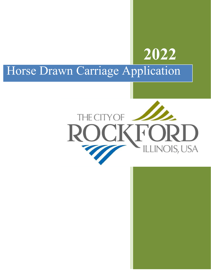## Horse Drawn Carriage Application



**2022**